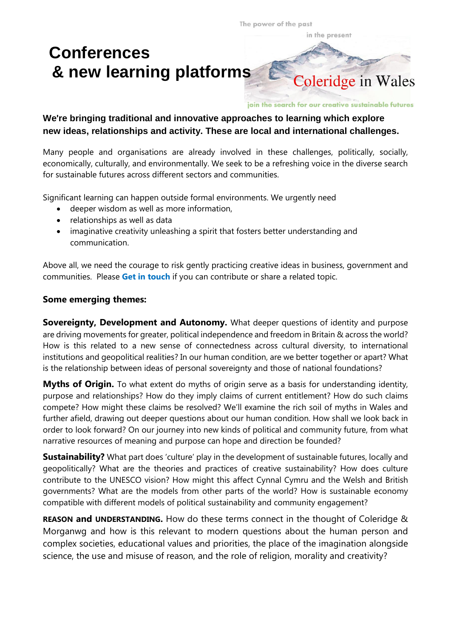The power of the past

in the present

## **Conferences & new learning platforms**



join the search for our creative sustainable futures

## **We**'**re bringing traditional and innovative approaches to learning which explore new ideas, relationships and activity. These are local and international challenges.**

Many people and organisations are already involved in these challenges, politically, socially, economically, culturally, and environmentally. We seek to be a refreshing voice in the diverse search for sustainable futures across different sectors and communities.

Significant learning can happen outside formal environments. We urgently need

- deeper wisdom as well as more information,
- relationships as well as data
- imaginative creativity unleashing a spirit that fosters better understanding and communication.

Above all, we need the courage to risk gently practicing creative ideas in business, government and communities. Please **Get in touch** if you can contribute or share a related topic.

## **Some emerging themes:**

**Sovereignty, Development and Autonomy.** What deeper questions of identity and purpose are driving movements for greater, political independence and freedom in Britain & across the world? How is this related to a new sense of connectedness across cultural diversity, to international institutions and geopolitical realities? In our human condition, are we better together or apart? What is the relationship between ideas of personal sovereignty and those of national foundations?

**Myths of Origin.** To what extent do myths of origin serve as a basis for understanding identity, purpose and relationships? How do they imply claims of current entitlement? How do such claims compete? How might these claims be resolved? We'll examine the rich soil of myths in Wales and further afield, drawing out deeper questions about our human condition. How shall we look back in order to look forward? On our journey into new kinds of political and community future, from what narrative resources of meaning and purpose can hope and direction be founded?

**Sustainability?** What part does 'culture' play in the development of sustainable futures, locally and geopolitically? What are the theories and practices of creative sustainability? How does culture contribute to the UNESCO vision? How might this affect Cynnal Cymru and the Welsh and British governments? What are the models from other parts of the world? How is sustainable economy compatible with different models of political sustainability and community engagement?

**REASON and UNDERSTANDING.** How do these terms connect in the thought of Coleridge & Morganwg and how is this relevant to modern questions about the human person and complex societies, educational values and priorities, the place of the imagination alongside science, the use and misuse of reason, and the role of religion, morality and creativity?